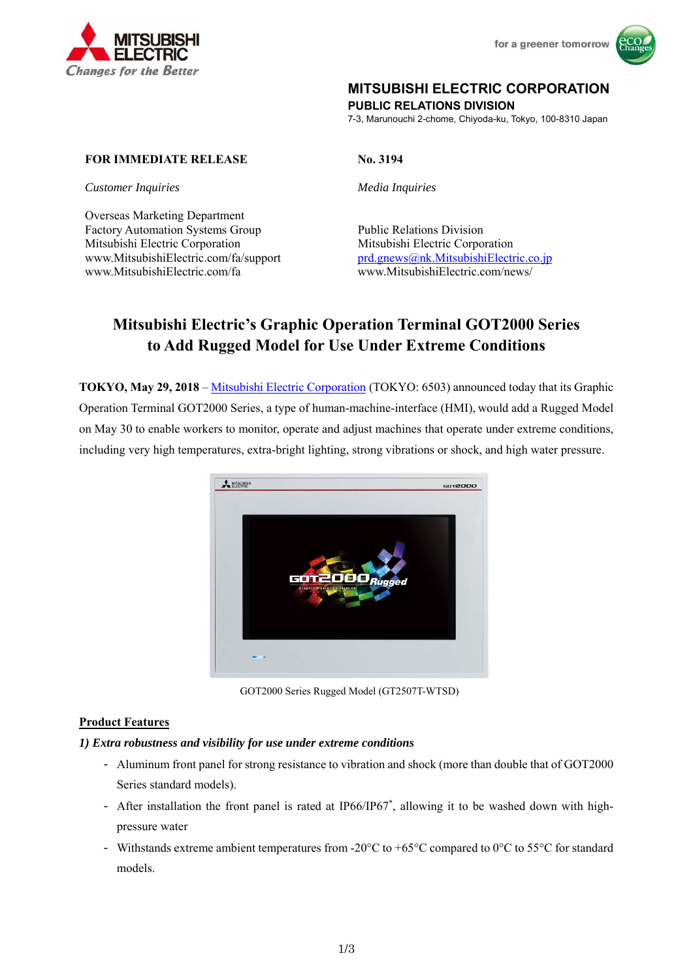



## **MITSUBISHI ELECTRIC CORPORATION**

**PUBLIC RELATIONS DIVISION** 

7-3, Marunouchi 2-chome, Chiyoda-ku, Tokyo, 100-8310 Japan

### **FOR IMMEDIATE RELEASE No. 3194**

*Customer Inquiries Media Inquiries* 

Overseas Marketing Department Factory Automation Systems Group Public Relations Division Mitsubishi Electric Corporation Mitsubishi Electric Corporation www.MitsubishiElectric.com/fa/support prd.gnews@nk.MitsubishiElectric.co.jp www.MitsubishiElectric.com/fa www.MitsubishiElectric.com/news/

# **Mitsubishi Electric's Graphic Operation Terminal GOT2000 Series to Add Rugged Model for Use Under Extreme Conditions**

**TOKYO, May 29, 2018** – Mitsubishi Electric Corporation (TOKYO: 6503) announced today that its Graphic Operation Terminal GOT2000 Series, a type of human-machine-interface (HMI), would add a Rugged Model on May 30 to enable workers to monitor, operate and adjust machines that operate under extreme conditions, including very high temperatures, extra-bright lighting, strong vibrations or shock, and high water pressure.



GOT2000 Series Rugged Model (GT2507T-WTSD)

#### **Product Features**

#### *1) Extra robustness and visibility for use under extreme conditions*

- Aluminum front panel for strong resistance to vibration and shock (more than double that of GOT2000 Series standard models).
- After installation the front panel is rated at IP66/IP67<sup>\*</sup>, allowing it to be washed down with highpressure water
- Withstands extreme ambient temperatures from -20 $\degree$ C to +65 $\degree$ C compared to 0 $\degree$ C to 55 $\degree$ C for standard models.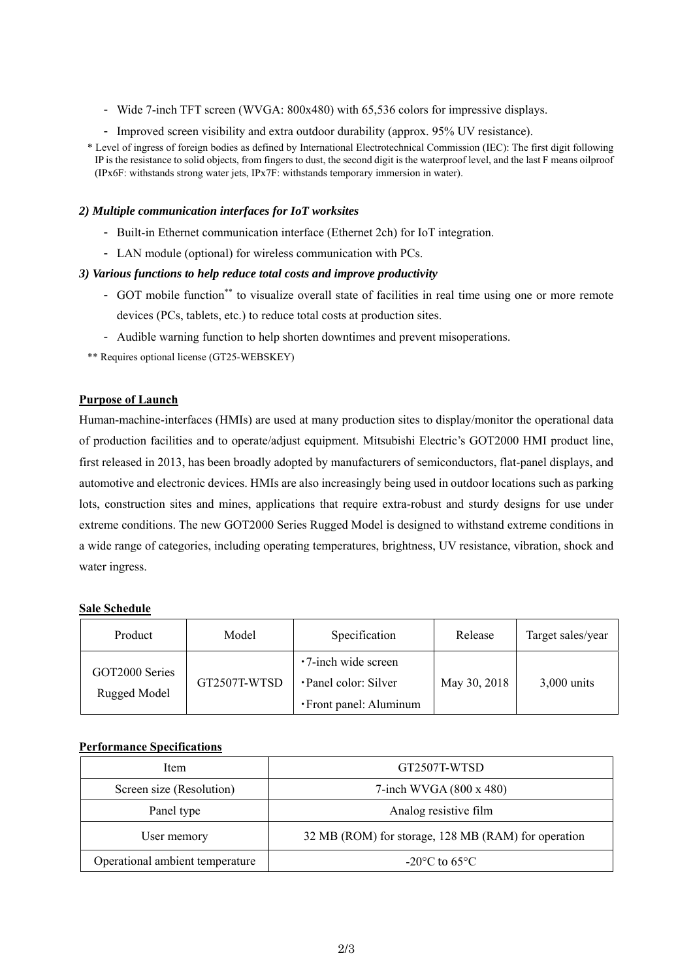- Wide 7-inch TFT screen (WVGA: 800x480) with 65,536 colors for impressive displays.
- Improved screen visibility and extra outdoor durability (approx. 95% UV resistance).
- \* Level of ingress of foreign bodies as defined by International Electrotechnical Commission (IEC): The first digit following IP is the resistance to solid objects, from fingers to dust, the second digit is the waterproof level, and the last F means oilproof (IPx6F: withstands strong water jets, IPx7F: withstands temporary immersion in water).

#### *2) Multiple communication interfaces for IoT worksites*

- Built-in Ethernet communication interface (Ethernet 2ch) for IoT integration.
- LAN module (optional) for wireless communication with PCs.

#### *3) Various functions to help reduce total costs and improve productivity*

- GOT mobile function\*\* to visualize overall state of facilities in real time using one or more remote devices (PCs, tablets, etc.) to reduce total costs at production sites.
- Audible warning function to help shorten downtimes and prevent misoperations.

\*\* Requires optional license (GT25-WEBSKEY)

#### **Purpose of Launch**

Human-machine-interfaces (HMIs) are used at many production sites to display/monitor the operational data of production facilities and to operate/adjust equipment. Mitsubishi Electric's GOT2000 HMI product line, first released in 2013, has been broadly adopted by manufacturers of semiconductors, flat-panel displays, and automotive and electronic devices. HMIs are also increasingly being used in outdoor locations such as parking lots, construction sites and mines, applications that require extra-robust and sturdy designs for use under extreme conditions. The new GOT2000 Series Rugged Model is designed to withstand extreme conditions in a wide range of categories, including operating temperatures, brightness, UV resistance, vibration, shock and water ingress.

#### **Sale Schedule**

| Product                        | Model        | Specification                                                          | Release      | Target sales/year |
|--------------------------------|--------------|------------------------------------------------------------------------|--------------|-------------------|
| GOT2000 Series<br>Rugged Model | GT2507T-WTSD | •7-inch wide screen<br>•Panel color: Silver<br>• Front panel: Aluminum | May 30, 2018 | $3,000$ units     |

#### **Performance Specifications**

| Item                            | GT2507T-WTSD                                        |  |
|---------------------------------|-----------------------------------------------------|--|
| Screen size (Resolution)        | 7-inch WVGA $(800 \times 480)$                      |  |
| Panel type                      | Analog resistive film                               |  |
| User memory                     | 32 MB (ROM) for storage, 128 MB (RAM) for operation |  |
| Operational ambient temperature | $-20^{\circ}$ C to 65 $^{\circ}$ C                  |  |